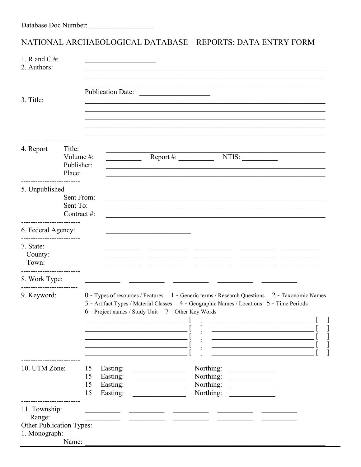## NATIONAL ARCHAEOLOGICAL DATABASE - REPORTS: DATA ENTRY FORM

| 1. R and C $#$ :<br>2. Authors:                                      |                                             |                                                                      |                                                                                                                                                                                                                                               |                                                  |                                                                                                                                                                                                                                                                    |    |
|----------------------------------------------------------------------|---------------------------------------------|----------------------------------------------------------------------|-----------------------------------------------------------------------------------------------------------------------------------------------------------------------------------------------------------------------------------------------|--------------------------------------------------|--------------------------------------------------------------------------------------------------------------------------------------------------------------------------------------------------------------------------------------------------------------------|----|
| 3. Title:                                                            |                                             | <b>Publication Date:</b>                                             | <u> 1980 - John Stein, amerikansk politiker (</u>                                                                                                                                                                                             |                                                  |                                                                                                                                                                                                                                                                    |    |
| 4. Report                                                            | Title:<br>Volume #:<br>Publisher:<br>Place: |                                                                      |                                                                                                                                                                                                                                               | $\text{Report}\#$ :                              | NTIS:                                                                                                                                                                                                                                                              |    |
| 5. Unpublished                                                       | Sent From:<br>Sent To:<br>Contract #:       |                                                                      |                                                                                                                                                                                                                                               |                                                  |                                                                                                                                                                                                                                                                    |    |
| 6. Federal Agency:                                                   |                                             |                                                                      |                                                                                                                                                                                                                                               |                                                  |                                                                                                                                                                                                                                                                    |    |
| .<br>7. State:<br>County:<br>Town:                                   |                                             |                                                                      |                                                                                                                                                                                                                                               |                                                  |                                                                                                                                                                                                                                                                    |    |
| 8. Work Type:                                                        |                                             |                                                                      |                                                                                                                                                                                                                                               |                                                  |                                                                                                                                                                                                                                                                    |    |
| ------------------<br>9. Keyword:                                    |                                             |                                                                      | 0 - Types of resources / Features 1 - Generic terms / Research Questions 2 - Taxonomic Names<br>3 - Artifact Types / Material Classes 4 - Geographic Names / Locations 5 - Time Periods<br>6 - Project names / Study Unit 7 - Other Key Words |                                                  |                                                                                                                                                                                                                                                                    | г. |
| 10. UTM Zone:                                                        |                                             | 15<br>Easting:<br>15<br>Easting:<br>Easting:<br>15<br>15<br>Easting: |                                                                                                                                                                                                                                               | Northing:<br>Northing:<br>Northing:<br>Northing: | <u> 1989 - Jan Stein Stein Stein Stein Stein Stein Stein Stein Stein Stein Stein Stein Stein Stein Stein Stein Stein Stein Stein Stein Stein Stein Stein Stein Stein Stein Stein Stein Stein Stein Stein Stein Stein Stein Stein</u><br><u> 1989 - Jan Barbara</u> |    |
| 11. Township:<br>Range:<br>Other Publication Types:<br>1. Monograph: | Name:                                       |                                                                      |                                                                                                                                                                                                                                               |                                                  |                                                                                                                                                                                                                                                                    |    |